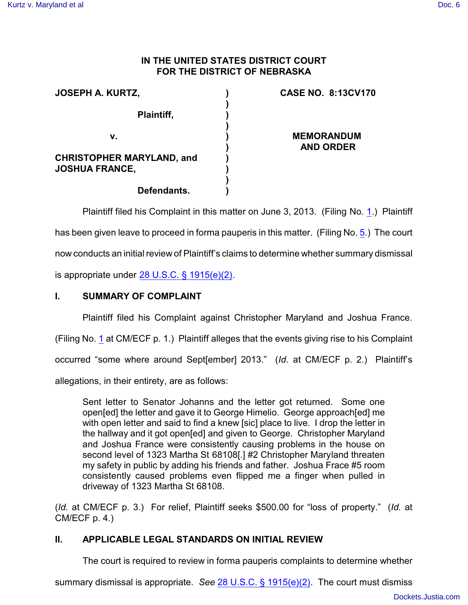#### **IN THE UNITED STATES DISTRICT COURT FOR THE DISTRICT OF NEBRASKA**

| <b>JOSEPH A. KURTZ,</b>          | <b>CASE NO. 8:13CV170</b> |
|----------------------------------|---------------------------|
| Plaintiff,                       |                           |
| v.                               | <b>MEMORANDUM</b>         |
|                                  | <b>AND ORDER</b>          |
| <b>CHRISTOPHER MARYLAND, and</b> |                           |
| <b>JOSHUA FRANCE,</b>            |                           |
|                                  |                           |
| Defendants.                      |                           |

Plaintiff filed his Complaint in this matter on June 3, 2013. (Filing No. [1](http://ecf.ned.uscourts.gov/doc1/11302796702).) Plaintiff has been given leave to proceed in forma pauperis in this matter. (Filing No. [5](http://ecf.ned.uscourts.gov/doc1/11302804166).) The court now conducts an initial review of Plaintiff's claims to determine whether summary dismissal is appropriate under [28 U.S.C. § 1915\(e\)\(2\)](http://www.westlaw.com/find/default.wl?rs=CLWP3.0&vr=2.0&cite=28+USCA+s+1915%28e%29%282%29).

## **I. SUMMARY OF COMPLAINT**

Plaintiff filed his Complaint against Christopher Maryland and Joshua France.

(Filing No. [1](http://ecf.ned.uscourts.gov/doc1/11302796702) at CM/ECF p. 1.) Plaintiff alleges that the events giving rise to his Complaint

occurred "some where around Sept[ember] 2013." (*Id.* at CM/ECF p. 2.) Plaintiff's

allegations, in their entirety, are as follows:

Sent letter to Senator Johanns and the letter got returned. Some one open[ed] the letter and gave it to George Himelio. George approach[ed] me with open letter and said to find a knew [sic] place to live. I drop the letter in the hallway and it got open[ed] and given to George. Christopher Maryland and Joshua France were consistently causing problems in the house on second level of 1323 Martha St 68108[.] #2 Christopher Maryland threaten my safety in public by adding his friends and father. Joshua Frace #5 room consistently caused problems even flipped me a finger when pulled in driveway of 1323 Martha St 68108.

(*Id.* at CM/ECF p. 3.) For relief, Plaintiff seeks \$500.00 for "loss of property." (*Id.* at CM/ECF p. 4.)

### **II. APPLICABLE LEGAL STANDARDS ON INITIAL REVIEW**

The court is required to review in forma pauperis complaints to determine whether

summary dismissal is appropriate. *See* [28 U.S.C. § 1915\(e\)\(2\)](http://www.westlaw.com/find/default.wl?rs=CLWP3.0&vr=2.0&cite=28+USCA+s+1915%28e%29%282%29). The court must dismiss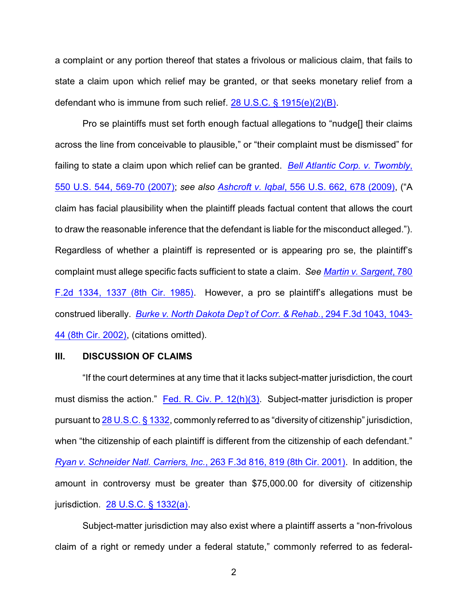a complaint or any portion thereof that states a frivolous or malicious claim, that fails to state a claim upon which relief may be granted, or that seeks monetary relief from a defendant who is immune from such relief. [28 U.S.C. § 1915\(e\)\(2\)\(B\)](http://www.westlaw.com/find/default.wl?rs=CLWP3.0&vr=2.0&cite=28+USCA+s+1915%28e%29%282%29%28B%29).

Pro se plaintiffs must set forth enough factual allegations to "nudge[] their claims across the line from conceivable to plausible," or "their complaint must be dismissed" for failing to state a claim upon which relief can be granted. *[Bell Atlantic Corp. v. Twombly](http://www.westlaw.com/find/default.wl?rs=CLWP3.0&vr=2.0&cite=550+U.S.+544)*, [550 U.S.](http://www.westlaw.com/find/default.wl?rs=CLWP3.0&vr=2.0&cite=550+U.S.+544) 544, 569-70 (2007); *see also Ashcroft v. Iqbal*[, 556 U.S. 662, 678 \(2009\)](http://www.westlaw.com/find/default.wl?rs=CLWP3.0&vr=2.0&cite=129+S.Ct.+1937), ("A claim has facial plausibility when the plaintiff pleads factual content that allows the court to draw the reasonable inference that the defendant is liable for the misconduct alleged."). Regardless of whether a plaintiff is represented or is appearing pro se, the plaintiff's complaint must allege specific facts sufficient to state a claim. *See [Martin v. Sargent](http://www.westlaw.com/find/default.wl?rs=CLWP3.0&vr=2.0&cite=780+F.2d+1334)*, 780 F.2d 1334, [1337 \(8th Cir. 1985\)](http://www.westlaw.com/find/default.wl?rs=CLWP3.0&vr=2.0&cite=780+F.2d+1334). However, a pro se plaintiff's allegations must be construed liberally. *[Burke v. North Dakota Dep't of Corr. & Rehab.](http://www.westlaw.com/find/default.wl?rs=CLWP3.0&vr=2.0&cite=294+F.3d+1043)*, 294 F.3d 1043, 1043- [44 \(8th Cir. 2002\)](http://www.westlaw.com/find/default.wl?rs=CLWP3.0&vr=2.0&cite=294+F.3d+1043), (citations omitted).

#### **III. DISCUSSION OF CLAIMS**

"If the court determines at any time that it lacks subject-matter jurisdiction, the court must dismiss the action." [Fed. R. Civ. P. 12\(h\)\(3\)](file:///|//http///web2.westlaw.com/result/default.wl?rs=WLW13.07&ss=CNT&cnt=DOC&cite=frcp+12&tnprpdd=None&cfid=2&cxt=DC&service=KeyCite&fn=_top&n=1&elmap=Inline&kcpm=True&vr=2.0&tnprpds=TaxNewsFIT&rlt=CLID_FQRLT82334194614268&mt=EighthCircuit&rlti=1&tf=0&rp=%2fKeyCite%2). Subject-matter jurisdiction is proper pursuant to [28 U.S.C. § 1332](http://www.westlaw.com/find/default.wl?rs=CLWP3.0&vr=2.0&cite=28+USCA+s+1332), commonly referred to as "diversity of citizenship" jurisdiction, when "the citizenship of each plaintiff is different from the citizenship of each defendant." *[Ryan v. Schneider Natl. Carriers, Inc.](http://www.westlaw.com/find/default.wl?rs=CLWP3.0&vr=2.0&cite=263+F.3d+816)*, 263 F.3d 816, 819 (8th Cir. 2001). In addition, the amount in controversy must be greater than \$75,000.00 for diversity of citizenship jurisdiction. [28 U.S.C. § 1332\(a\)](http://www.westlaw.com/find/default.wl?rs=CLWP3.0&vr=2.0&cite=28+USCA+s+1332%28a%29).

Subject-matter jurisdiction may also exist where a plaintiff asserts a "non-frivolous claim of a right or remedy under a federal statute," commonly referred to as federal-

2